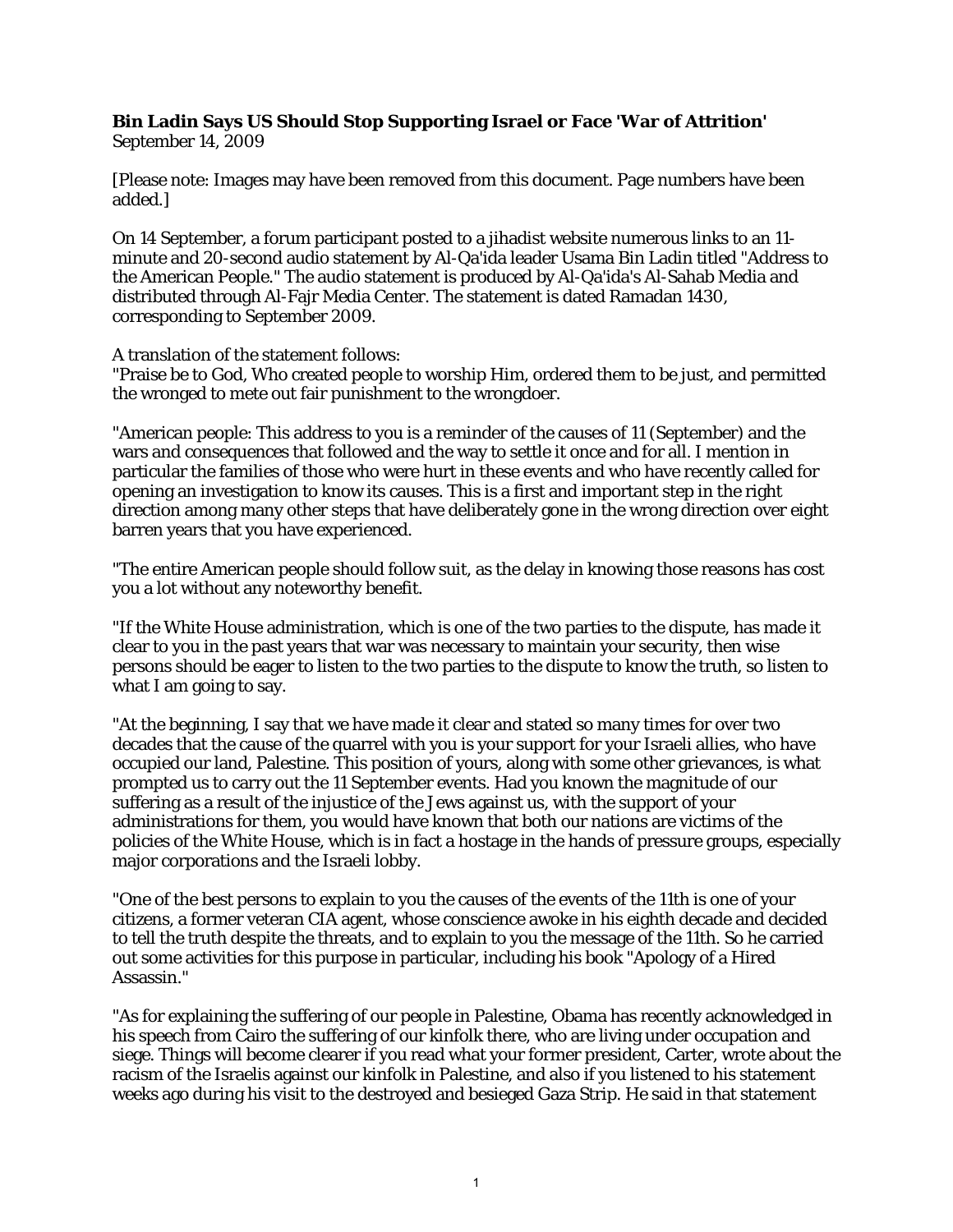## **Bin Ladin Says US Should Stop Supporting Israel or Face 'War of Attrition'**

September 14, 2009

[Please note: Images may have been removed from this document. Page numbers have been added.]

On 14 September, a forum participant posted to a jihadist website numerous links to an 11 minute and 20-second audio statement by Al-Qa'ida leader Usama Bin Ladin titled "Address to the American People." The audio statement is produced by Al-Qa'ida's Al-Sahab Media and distributed through Al-Fajr Media Center. The statement is dated Ramadan 1430, corresponding to September 2009.

A translation of the statement follows:

"Praise be to God, Who created people to worship Him, ordered them to be just, and permitted the wronged to mete out fair punishment to the wrongdoer.

"American people: This address to you is a reminder of the causes of 11 (September) and the wars and consequences that followed and the way to settle it once and for all. I mention in particular the families of those who were hurt in these events and who have recently called for opening an investigation to know its causes. This is a first and important step in the right direction among many other steps that have deliberately gone in the wrong direction over eight barren years that you have experienced.

"The entire American people should follow suit, as the delay in knowing those reasons has cost you a lot without any noteworthy benefit.

"If the White House administration, which is one of the two parties to the dispute, has made it clear to you in the past years that war was necessary to maintain your security, then wise persons should be eager to listen to the two parties to the dispute to know the truth, so listen to what I am going to say.

"At the beginning, I say that we have made it clear and stated so many times for over two decades that the cause of the quarrel with you is your support for your Israeli allies, who have occupied our land, Palestine. This position of yours, along with some other grievances, is what prompted us to carry out the 11 September events. Had you known the magnitude of our suffering as a result of the injustice of the Jews against us, with the support of your administrations for them, you would have known that both our nations are victims of the policies of the White House, which is in fact a hostage in the hands of pressure groups, especially major corporations and the Israeli lobby.

"One of the best persons to explain to you the causes of the events of the 11th is one of your citizens, a former veteran CIA agent, whose conscience awoke in his eighth decade and decided to tell the truth despite the threats, and to explain to you the message of the 11th. So he carried out some activities for this purpose in particular, including his book "Apology of a Hired Assassin."

"As for explaining the suffering of our people in Palestine, Obama has recently acknowledged in his speech from Cairo the suffering of our kinfolk there, who are living under occupation and siege. Things will become clearer if you read what your former president, Carter, wrote about the racism of the Israelis against our kinfolk in Palestine, and also if you listened to his statement weeks ago during his visit to the destroyed and besieged Gaza Strip. He said in that statement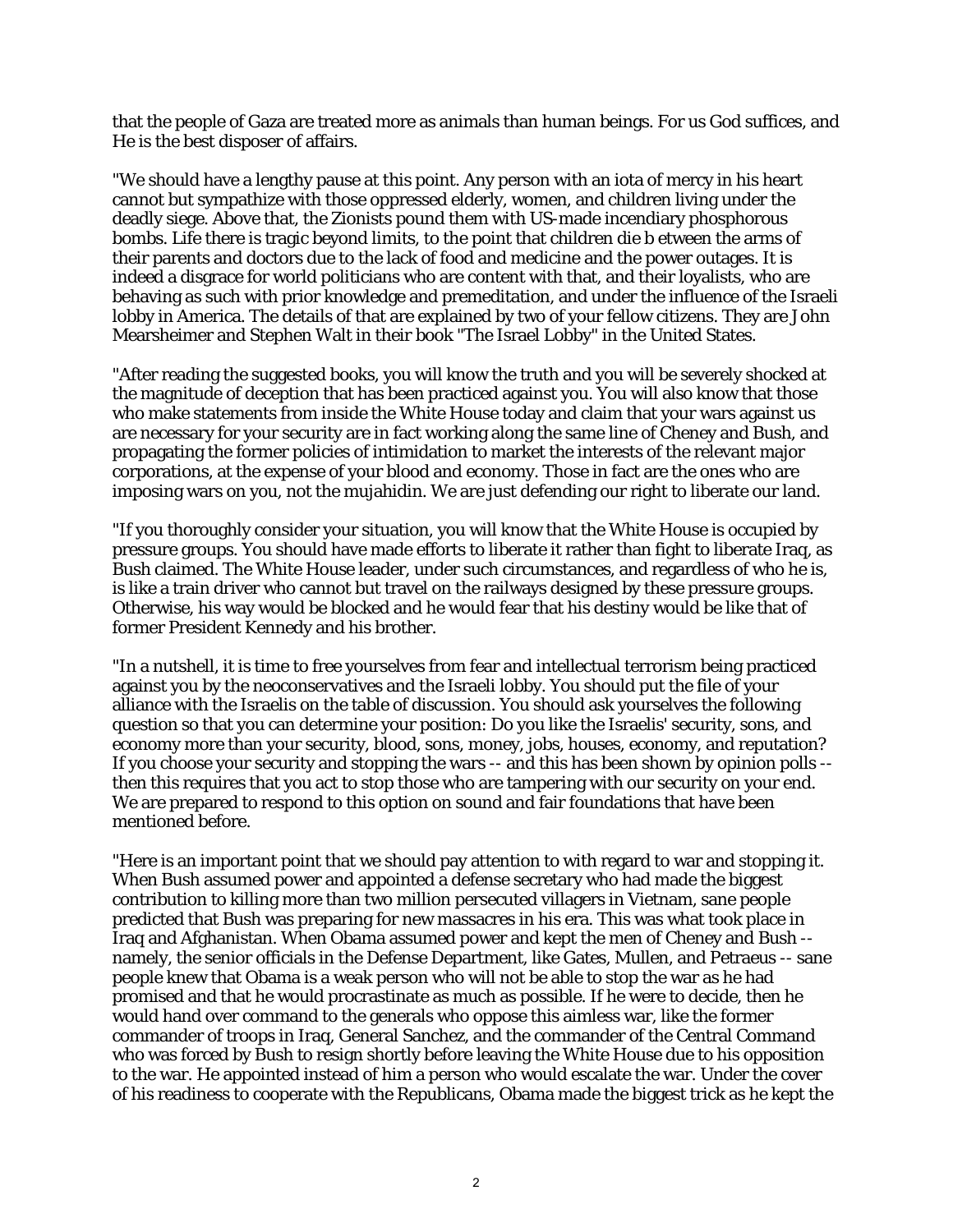that the people of Gaza are treated more as animals than human beings. For us God suffices, and He is the best disposer of affairs.

"We should have a lengthy pause at this point. Any person with an iota of mercy in his heart cannot but sympathize with those oppressed elderly, women, and children living under the deadly siege. Above that, the Zionists pound them with US-made incendiary phosphorous bombs. Life there is tragic beyond limits, to the point that children die b etween the arms of their parents and doctors due to the lack of food and medicine and the power outages. It is indeed a disgrace for world politicians who are content with that, and their loyalists, who are behaving as such with prior knowledge and premeditation, and under the influence of the Israeli lobby in America. The details of that are explained by two of your fellow citizens. They are John Mearsheimer and Stephen Walt in their book "The Israel Lobby" in the United States.

"After reading the suggested books, you will know the truth and you will be severely shocked at the magnitude of deception that has been practiced against you. You will also know that those who make statements from inside the White House today and claim that your wars against us are necessary for your security are in fact working along the same line of Cheney and Bush, and propagating the former policies of intimidation to market the interests of the relevant major corporations, at the expense of your blood and economy. Those in fact are the ones who are imposing wars on you, not the mujahidin. We are just defending our right to liberate our land.

"If you thoroughly consider your situation, you will know that the White House is occupied by pressure groups. You should have made efforts to liberate it rather than fight to liberate Iraq, as Bush claimed. The White House leader, under such circumstances, and regardless of who he is, is like a train driver who cannot but travel on the railways designed by these pressure groups. Otherwise, his way would be blocked and he would fear that his destiny would be like that of former President Kennedy and his brother.

"In a nutshell, it is time to free yourselves from fear and intellectual terrorism being practiced against you by the neoconservatives and the Israeli lobby. You should put the file of your alliance with the Israelis on the table of discussion. You should ask yourselves the following question so that you can determine your position: Do you like the Israelis' security, sons, and economy more than your security, blood, sons, money, jobs, houses, economy, and reputation? If you choose your security and stopping the wars -- and this has been shown by opinion polls - then this requires that you act to stop those who are tampering with our security on your end. We are prepared to respond to this option on sound and fair foundations that have been mentioned before.

"Here is an important point that we should pay attention to with regard to war and stopping it. When Bush assumed power and appointed a defense secretary who had made the biggest contribution to killing more than two million persecuted villagers in Vietnam, sane people predicted that Bush was preparing for new massacres in his era. This was what took place in Iraq and Afghanistan. When Obama assumed power and kept the men of Cheney and Bush - namely, the senior officials in the Defense Department, like Gates, Mullen, and Petraeus -- sane people knew that Obama is a weak person who will not be able to stop the war as he had promised and that he would procrastinate as much as possible. If he were to decide, then he would hand over command to the generals who oppose this aimless war, like the former commander of troops in Iraq, General Sanchez, and the commander of the Central Command who was forced by Bush to resign shortly before leaving the White House due to his opposition to the war. He appointed instead of him a person who would escalate the war. Under the cover of his readiness to cooperate with the Republicans, Obama made the biggest trick as he kept the